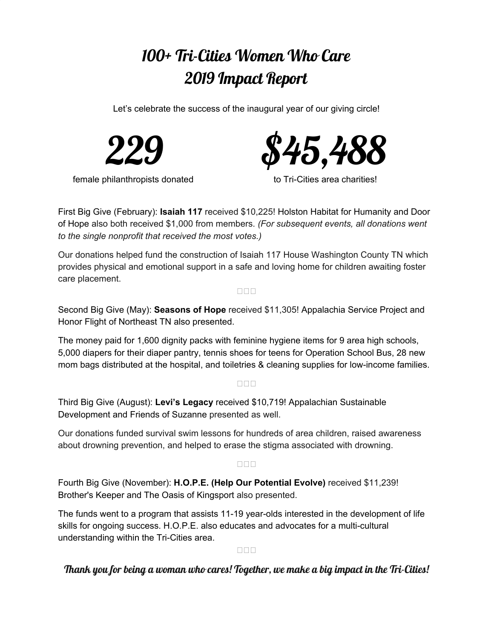# 100+ Tri-Cities Women Who Care 2019 Impact Report

Let's celebrate the success of the inaugural year of our giving circle!



female philanthropists donated to Tri-Cities area charities!



First Big Give (February): **[Isaiah](https://isaiah117house.com/) 117** received \$10,225! Holston Habitat for [Humanity](http://www.holstonhabitat.org/) and [Door](https://www.facebook.com/doorofhope.hopecenter.fwbfm/) of [Hope](https://www.facebook.com/doorofhope.hopecenter.fwbfm/) also both received \$1,000 from members. *(For subsequent events, all donations went to the single nonprofit that received the most votes.)*

Our donations helped fund the construction of Isaiah 117 House Washington County TN which provides physical and emotional support in a safe and loving home for children awaiting foster care placement.

#### $\Box$  $\Box$  $\Box$

Second Big Give (May): **[Seasons](https://www.seasonsofhopetn.com/) of Hope** received \$11,305! [Appalachia](https://www.asphome.org/) Service Project and Honor Flight of [Northeast](http://honorflightnetn.org/) TN also presented.

The money paid for 1,600 dignity packs with feminine hygiene items for 9 area high schools, 5,000 diapers for their diaper pantry, tennis shoes for teens for Operation School Bus, 28 new mom bags distributed at the hospital, and toiletries & cleaning supplies for low-income families.

### **NNN**

Third Big Give (August): **Levi's [Legacy](http://www.levislegacy.com/)** [r](http://www.levislegacy.com/)eceived [\\$10,719!](http://www.levislegacy.com/) [Appalachian](https://asdevelop.org/) Sustainable [Development](https://asdevelop.org/) and Friends of [Suzanne](http://friendsofsuzanne.com/) presented as well.

Our donations funded survival swim lessons for hundreds of area children, raised awareness about drowning prevention, and helped to erase the stigma associated with drowning.

### $\square \square \square$

Fourth Big Give (November): **H.O.P.E. (Help Our [Potential](https://www.hopetricities.com/) Evolve)** received \$11,239! [Brother's](http://brotherskeepertn.org/) Keeper and The Oasis of [Kingsport](http://oasisofkingsport.org/index.html) also presented.

The funds went to a program that assists 11-19 year-olds interested in the development of life skills for ongoing success. H.O.P.E. also educates and advocates for a multi-cultural understanding within the Tri-Cities area.

### $\Box \Box \Box$

## Thank you for being a woman who cares! Together, we make a big impact in the Tri-Cities!